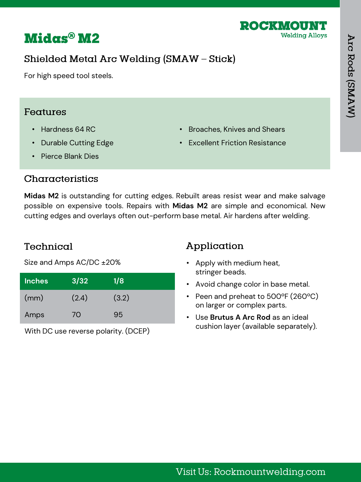

## **Midas® M2**

## Shielded Metal Arc Welding (SMAW - Stick)

For high speed tool steels.

### Features

- Hardness 64 RC
- Durable Cutting Edge
- Broaches, Knives and Shears
- Excellent Friction Resistance

• Pierce Blank Dies

### Characteristics

**Midas M2** is outstanding for cutting edges. Rebuilt areas resist wear and make salvage possible on expensive tools. Repairs with **Midas M2** are simple and economical. New cutting edges and overlays often out-perform base metal. Air hardens after welding.

## Technical

Size and Amps AC/DC ±20%

| <b>Inches</b> | 3/32  | 1/8   |
|---------------|-------|-------|
| (mm)          | (2.4) | (3.2) |
| Amps          | 70    | 95    |

With DC use reverse polarity. (DCEP)

## Application

- Apply with medium heat, stringer beads.
- Avoid change color in base metal.
- Peen and preheat to 500ºF (260ºC) on larger or complex parts.
- Use **Brutus A Arc Rod** as an ideal cushion layer (available separately).